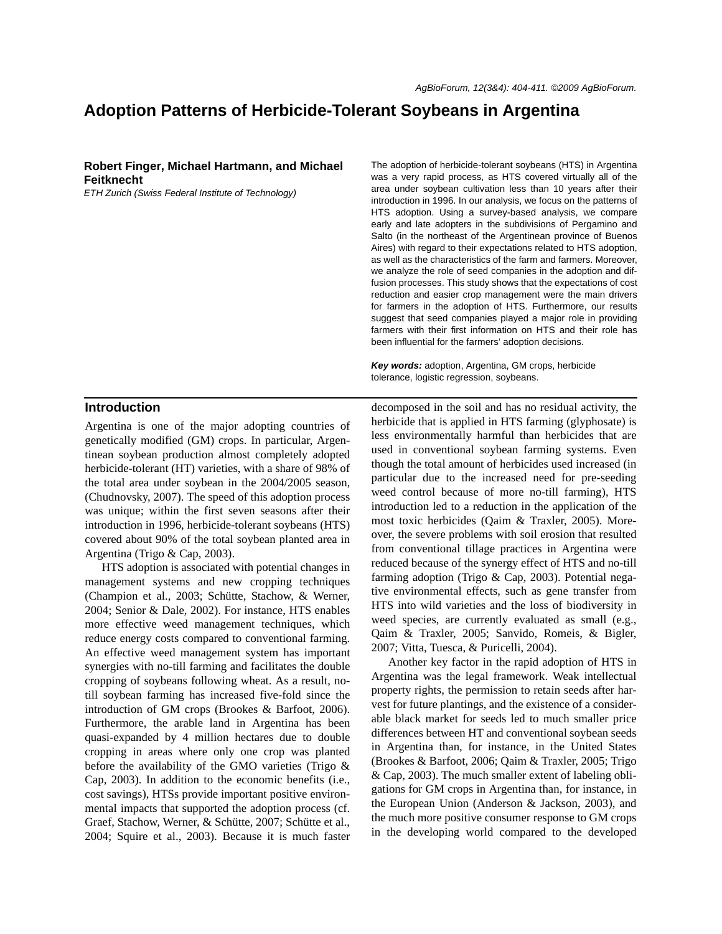# **Adoption Patterns of Herbicide-Tolerant Soybeans in Argentina**

# **Robert Finger, Michael Hartmann, and Michael Feitknecht**

*ETH Zurich (Swiss Federal Institute of Technology)*

# **Introduction**

Argentina is one of the major adopting countries of genetically modified (GM) crops. In particular, Argentinean soybean production almost completely adopted herbicide-tolerant (HT) varieties, with a share of 98% of the total area under soybean in the 2004/2005 season, (Chudnovsky, 2007). The speed of this adoption process was unique; within the first seven seasons after their introduction in 1996, herbicide-tolerant soybeans (HTS) covered about 90% of the total soybean planted area in Argentina (Trigo & Cap, 2003).

HTS adoption is associated with potential changes in management systems and new cropping techniques (Champion et al., 2003; Schütte, Stachow, & Werner, 2004; Senior & Dale, 2002). For instance, HTS enables more effective weed management techniques, which reduce energy costs compared to conventional farming. An effective weed management system has important synergies with no-till farming and facilitates the double cropping of soybeans following wheat. As a result, notill soybean farming has increased five-fold since the introduction of GM crops (Brookes & Barfoot, 2006). Furthermore, the arable land in Argentina has been quasi-expanded by 4 million hectares due to double cropping in areas where only one crop was planted before the availability of the GMO varieties (Trigo & Cap, 2003). In addition to the economic benefits (i.e., cost savings), HTSs provide important positive environmental impacts that supported the adoption process (cf. Graef, Stachow, Werner, & Schütte, 2007; Schütte et al., 2004; Squire et al., 2003). Because it is much faster

The adoption of herbicide-tolerant soybeans (HTS) in Argentina was a very rapid process, as HTS covered virtually all of the area under soybean cultivation less than 10 years after their introduction in 1996. In our analysis, we focus on the patterns of HTS adoption. Using a survey-based analysis, we compare early and late adopters in the subdivisions of Pergamino and Salto (in the northeast of the Argentinean province of Buenos Aires) with regard to their expectations related to HTS adoption, as well as the characteristics of the farm and farmers. Moreover, we analyze the role of seed companies in the adoption and diffusion processes. This study shows that the expectations of cost reduction and easier crop management were the main drivers for farmers in the adoption of HTS. Furthermore, our results suggest that seed companies played a major role in providing farmers with their first information on HTS and their role has been influential for the farmers' adoption decisions.

*Key words:* adoption, Argentina, GM crops, herbicide tolerance, logistic regression, soybeans.

decomposed in the soil and has no residual activity, the herbicide that is applied in HTS farming (glyphosate) is less environmentally harmful than herbicides that are used in conventional soybean farming systems. Even though the total amount of herbicides used increased (in particular due to the increased need for pre-seeding weed control because of more no-till farming), HTS introduction led to a reduction in the application of the most toxic herbicides (Qaim & Traxler, 2005). Moreover, the severe problems with soil erosion that resulted from conventional tillage practices in Argentina were reduced because of the synergy effect of HTS and no-till farming adoption (Trigo & Cap, 2003). Potential negative environmental effects, such as gene transfer from HTS into wild varieties and the loss of biodiversity in weed species, are currently evaluated as small (e.g., Qaim & Traxler, 2005; Sanvido, Romeis, & Bigler, 2007; Vitta, Tuesca, & Puricelli, 2004).

Another key factor in the rapid adoption of HTS in Argentina was the legal framework. Weak intellectual property rights, the permission to retain seeds after harvest for future plantings, and the existence of a considerable black market for seeds led to much smaller price differences between HT and conventional soybean seeds in Argentina than, for instance, in the United States (Brookes & Barfoot, 2006; Qaim & Traxler, 2005; Trigo & Cap, 2003). The much smaller extent of labeling obligations for GM crops in Argentina than, for instance, in the European Union (Anderson & Jackson, 2003), and the much more positive consumer response to GM crops in the developing world compared to the developed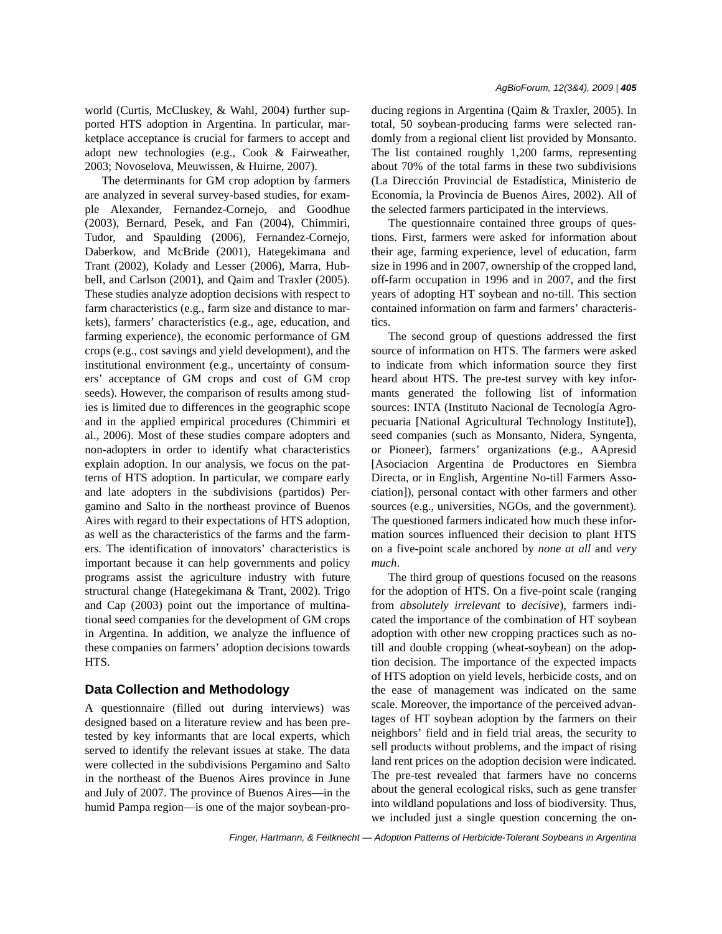world (Curtis, McCluskey, & Wahl, 2004) further supported HTS adoption in Argentina. In particular, marketplace acceptance is crucial for farmers to accept and adopt new technologies (e.g., Cook & Fairweather, 2003; Novoselova, Meuwissen, & Huirne, 2007).

The determinants for GM crop adoption by farmers are analyzed in several survey-based studies, for example Alexander, Fernandez-Cornejo, and Goodhue (2003), Bernard, Pesek, and Fan (2004), Chimmiri, Tudor, and Spaulding (2006), Fernandez-Cornejo, Daberkow, and McBride (2001), Hategekimana and Trant (2002), Kolady and Lesser (2006), Marra, Hubbell, and Carlson (2001), and Qaim and Traxler (2005). These studies analyze adoption decisions with respect to farm characteristics (e.g., farm size and distance to markets), farmers' characteristics (e.g., age, education, and farming experience), the economic performance of GM crops (e.g., cost savings and yield development), and the institutional environment (e.g., uncertainty of consumers' acceptance of GM crops and cost of GM crop seeds). However, the comparison of results among studies is limited due to differences in the geographic scope and in the applied empirical procedures (Chimmiri et al., 2006). Most of these studies compare adopters and non-adopters in order to identify what characteristics explain adoption. In our analysis, we focus on the patterns of HTS adoption. In particular, we compare early and late adopters in the subdivisions (partidos) Pergamino and Salto in the northeast province of Buenos Aires with regard to their expectations of HTS adoption, as well as the characteristics of the farms and the farmers. The identification of innovators' characteristics is important because it can help governments and policy programs assist the agriculture industry with future structural change (Hategekimana & Trant, 2002). Trigo and Cap (2003) point out the importance of multinational seed companies for the development of GM crops in Argentina. In addition, we analyze the influence of these companies on farmers' adoption decisions towards HTS.

# **Data Collection and Methodology**

A questionnaire (filled out during interviews) was designed based on a literature review and has been pretested by key informants that are local experts, which served to identify the relevant issues at stake. The data were collected in the subdivisions Pergamino and Salto in the northeast of the Buenos Aires province in June and July of 2007. The province of Buenos Aires—in the humid Pampa region—is one of the major soybean-producing regions in Argentina (Qaim & Traxler, 2005). In total, 50 soybean-producing farms were selected randomly from a regional client list provided by Monsanto. The list contained roughly 1,200 farms, representing about 70% of the total farms in these two subdivisions (La Dirección Provincial de Estadística, Ministerio de Economía, la Provincia de Buenos Aires, 2002). All of the selected farmers participated in the interviews.

The questionnaire contained three groups of questions. First, farmers were asked for information about their age, farming experience, level of education, farm size in 1996 and in 2007, ownership of the cropped land, off-farm occupation in 1996 and in 2007, and the first years of adopting HT soybean and no-till. This section contained information on farm and farmers' characteristics.

The second group of questions addressed the first source of information on HTS. The farmers were asked to indicate from which information source they first heard about HTS. The pre-test survey with key informants generated the following list of information sources: INTA (Instituto Nacional de Tecnología Agropecuaria [National Agricultural Technology Institute]), seed companies (such as Monsanto, Nidera, Syngenta, or Pioneer), farmers' organizations (e.g., AApresid [Asociacion Argentina de Productores en Siembra Directa, or in English, Argentine No-till Farmers Association]), personal contact with other farmers and other sources (e.g., universities, NGOs, and the government). The questioned farmers indicated how much these information sources influenced their decision to plant HTS on a five-point scale anchored by *none at all* and *very much*.

The third group of questions focused on the reasons for the adoption of HTS. On a five-point scale (ranging from *absolutely irrelevant* to *decisive*), farmers indicated the importance of the combination of HT soybean adoption with other new cropping practices such as notill and double cropping (wheat-soybean) on the adoption decision. The importance of the expected impacts of HTS adoption on yield levels, herbicide costs, and on the ease of management was indicated on the same scale. Moreover, the importance of the perceived advantages of HT soybean adoption by the farmers on their neighbors' field and in field trial areas, the security to sell products without problems, and the impact of rising land rent prices on the adoption decision were indicated. The pre-test revealed that farmers have no concerns about the general ecological risks, such as gene transfer into wildland populations and loss of biodiversity. Thus, we included just a single question concerning the on-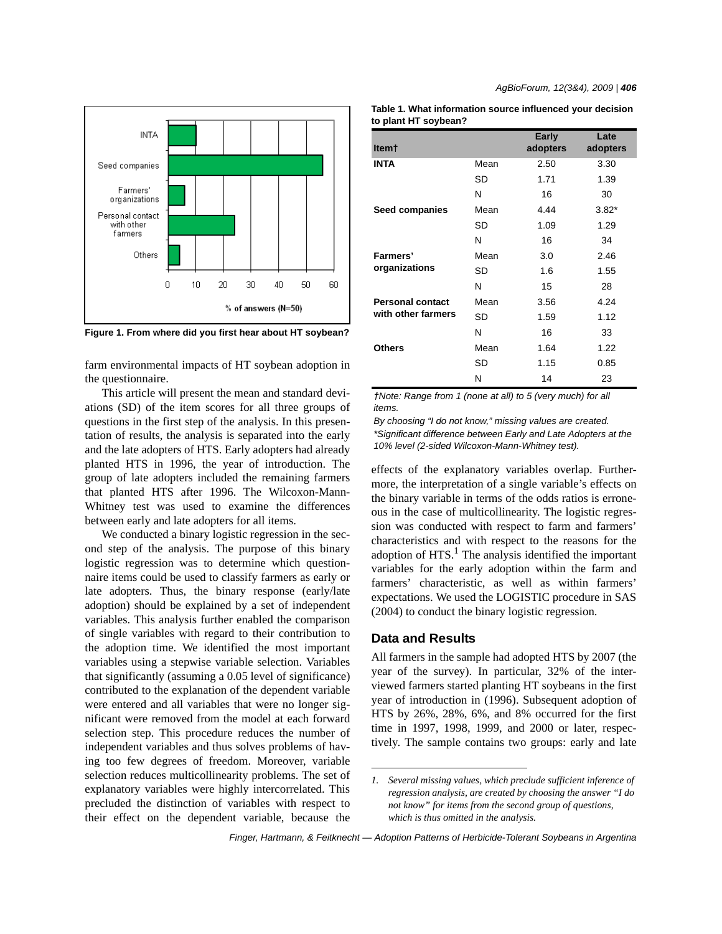

**Figure 1. From where did you first hear about HT soybean?**

farm environmental impacts of HT soybean adoption in the questionnaire.

This article will present the mean and standard deviations (SD) of the item scores for all three groups of questions in the first step of the analysis. In this presentation of results, the analysis is separated into the early and the late adopters of HTS. Early adopters had already planted HTS in 1996, the year of introduction. The group of late adopters included the remaining farmers that planted HTS after 1996. The Wilcoxon-Mann-Whitney test was used to examine the differences between early and late adopters for all items.

We conducted a binary logistic regression in the second step of the analysis. The purpose of this binary logistic regression was to determine which questionnaire items could be used to classify farmers as early or late adopters. Thus, the binary response (early/late adoption) should be explained by a set of independent variables. This analysis further enabled the comparison of single variables with regard to their contribution to the adoption time. We identified the most important variables using a stepwise variable selection. Variables that significantly (assuming a 0.05 level of significance) contributed to the explanation of the dependent variable were entered and all variables that were no longer significant were removed from the model at each forward selection step. This procedure reduces the number of independent variables and thus solves problems of having too few degrees of freedom. Moreover, variable selection reduces multicollinearity problems. The set of explanatory variables were highly intercorrelated. This precluded the distinction of variables with respect to their effect on the dependent variable, because the

| Table 1. What information source influenced your decision |  |
|-----------------------------------------------------------|--|
| to plant HT soybean?                                      |  |

| Item†                   |      | Early<br>adopters | Late<br>adopters |
|-------------------------|------|-------------------|------------------|
| <b>INTA</b>             | Mean | 2.50              | 3.30             |
|                         | SD   | 1.71              | 1.39             |
|                         | N    | 16                | 30               |
| Seed companies          | Mean | 4.44              | $3.82*$          |
|                         | SD   | 1.09              | 1.29             |
|                         | N    | 16                | 34               |
| Farmers'                | Mean | 3.0               | 2.46             |
| organizations           | SD   | 1.6               | 1.55             |
|                         | N    | 15                | 28               |
| <b>Personal contact</b> | Mean | 3.56              | 4.24             |
| with other farmers      | SD   | 1.59              | 1.12             |
|                         | N    | 16                | 33               |
| <b>Others</b>           | Mean | 1.64              | 1.22             |
|                         | SD   | 1.15              | 0.85             |
|                         | Ν    | 14                | 23               |

*†Note: Range from 1 (none at all) to 5 (very much) for all items.*

*By choosing "I do not know," missing values are created. \*Significant difference between Early and Late Adopters at the 10% level (2-sided Wilcoxon-Mann-Whitney test).*

effects of the explanatory variables overlap. Furthermore, the interpretation of a single variable's effects on the binary variable in terms of the odds ratios is erroneous in the case of multicollinearity. The logistic regression was conducted with respect to farm and farmers' characteristics and with respect to the reasons for the adoption of  $HTS<sup>1</sup>$ . The analysis identified the important variables for the early adoption within the farm and farmers' characteristic, as well as within farmers' expectations. We used the LOGISTIC procedure in SAS (2004) to conduct the binary logistic regression.

#### **Data and Results**

All farmers in the sample had adopted HTS by 2007 (the year of the survey). In particular, 32% of the interviewed farmers started planting HT soybeans in the first year of introduction in (1996). Subsequent adoption of HTS by 26%, 28%, 6%, and 8% occurred for the first time in 1997, 1998, 1999, and 2000 or later, respectively. The sample contains two groups: early and late

*<sup>1.</sup> Several missing values, which preclude sufficient inference of regression analysis, are created by choosing the answer "I do not know" for items from the second group of questions, which is thus omitted in the analysis.*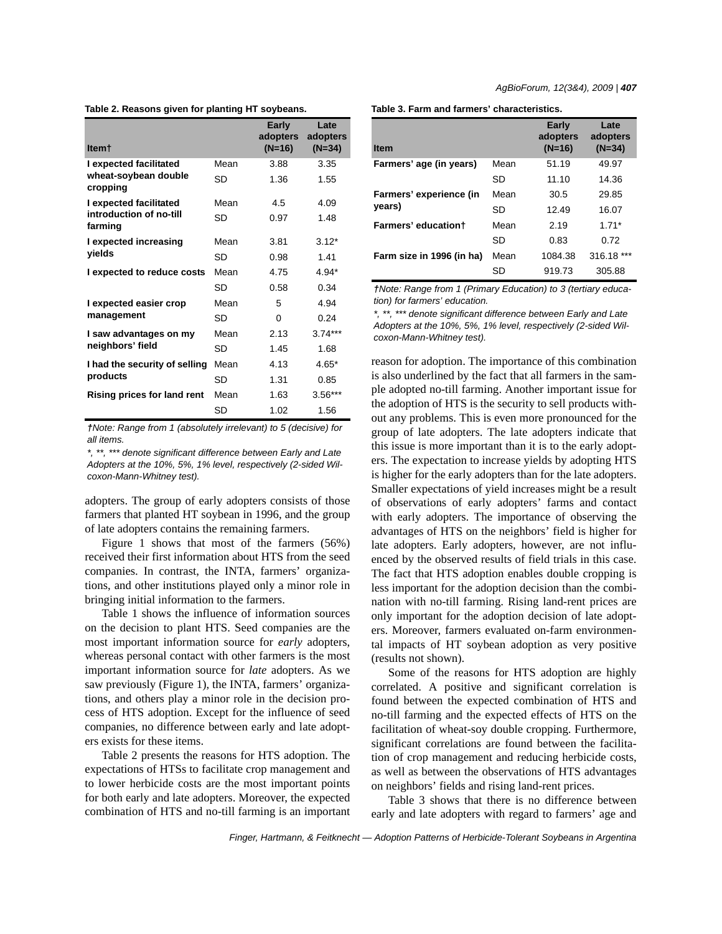|  | Table 2. Reasons given for planting HT soybeans. |  |  |  |  |
|--|--------------------------------------------------|--|--|--|--|
|--|--------------------------------------------------|--|--|--|--|

| Item†                              |      | <b>Early</b><br>adopters<br>$(N=16)$ | Late<br>adopters<br>$(N=34)$ |
|------------------------------------|------|--------------------------------------|------------------------------|
| I expected facilitated             | Mean | 3.88                                 | 3.35                         |
| wheat-soybean double<br>cropping   | SD   | 1.36                                 | 1.55                         |
| I expected facilitated             | Mean | 4.5                                  | 4.09                         |
| introduction of no-till<br>farming | SD   | 0.97                                 | 1.48                         |
| I expected increasing              | Mean | 3.81                                 | $3.12*$                      |
| yields                             | SD   | 0.98                                 | 1.41                         |
| I expected to reduce costs         | Mean | 4.75                                 | $4.94*$                      |
|                                    | SD   | 0.58                                 | 0.34                         |
| I expected easier crop             | Mean | 5                                    | 4.94                         |
| management                         | SD   | 0                                    | 0.24                         |
| I saw advantages on my             | Mean | 2.13                                 | $3.74***$                    |
| neighbors' field                   | SD   | 1.45                                 | 1.68                         |
| I had the security of selling      | Mean | 4.13                                 | $4.65*$                      |
| products                           | SD   | 1.31                                 | 0.85                         |
| <b>Rising prices for land rent</b> | Mean | 1.63                                 | 3.56***                      |
|                                    | SD   | 1.02                                 | 1.56                         |

*†Note: Range from 1 (absolutely irrelevant) to 5 (decisive) for all items.*

*\*, \*\*, \*\*\* denote significant difference between Early and Late Adopters at the 10%, 5%, 1% level, respectively (2-sided Wilcoxon-Mann-Whitney test).*

adopters. The group of early adopters consists of those farmers that planted HT soybean in 1996, and the group of late adopters contains the remaining farmers.

Figure 1 shows that most of the farmers (56%) received their first information about HTS from the seed companies. In contrast, the INTA, farmers' organizations, and other institutions played only a minor role in bringing initial information to the farmers.

Table 1 shows the influence of information sources on the decision to plant HTS. Seed companies are the most important information source for *early* adopters, whereas personal contact with other farmers is the most important information source for *late* adopters. As we saw previously (Figure 1), the INTA, farmers' organizations, and others play a minor role in the decision process of HTS adoption. Except for the influence of seed companies, no difference between early and late adopters exists for these items.

Table 2 presents the reasons for HTS adoption. The expectations of HTSs to facilitate crop management and to lower herbicide costs are the most important points for both early and late adopters. Moreover, the expected combination of HTS and no-till farming is an important

|  |  |  |  |  |  | Table 3. Farm and farmers' characteristics. |
|--|--|--|--|--|--|---------------------------------------------|
|--|--|--|--|--|--|---------------------------------------------|

| <b>Item</b>               |      | Early<br>adopters<br>$(N=16)$ | Late<br>adopters<br>$(N=34)$ |
|---------------------------|------|-------------------------------|------------------------------|
| Farmers' age (in years)   | Mean | 51.19                         | 49.97                        |
|                           | SD   | 11.10                         | 14.36                        |
| Farmers' experience (in   | Mean | 30.5                          | 29.85                        |
| years)                    | SD   | 12.49                         | 16.07                        |
| Farmers' education+       | Mean | 2.19                          | $1.71*$                      |
|                           | SD   | 0.83                          | 0.72                         |
| Farm size in 1996 (in ha) | Mean | 1084.38                       | 316.18 ***                   |
|                           | SD   | 919.73                        | 305.88                       |

*†Note: Range from 1 (Primary Education) to 3 (tertiary education) for farmers' education.*

*\*, \*\*, \*\*\* denote significant difference between Early and Late Adopters at the 10%, 5%, 1% level, respectively (2-sided Wilcoxon-Mann-Whitney test).*

reason for adoption. The importance of this combination is also underlined by the fact that all farmers in the sample adopted no-till farming. Another important issue for the adoption of HTS is the security to sell products without any problems. This is even more pronounced for the group of late adopters. The late adopters indicate that this issue is more important than it is to the early adopters. The expectation to increase yields by adopting HTS is higher for the early adopters than for the late adopters. Smaller expectations of yield increases might be a result of observations of early adopters' farms and contact with early adopters. The importance of observing the advantages of HTS on the neighbors' field is higher for late adopters. Early adopters, however, are not influenced by the observed results of field trials in this case. The fact that HTS adoption enables double cropping is less important for the adoption decision than the combination with no-till farming. Rising land-rent prices are only important for the adoption decision of late adopters. Moreover, farmers evaluated on-farm environmental impacts of HT soybean adoption as very positive (results not shown).

Some of the reasons for HTS adoption are highly correlated. A positive and significant correlation is found between the expected combination of HTS and no-till farming and the expected effects of HTS on the facilitation of wheat-soy double cropping. Furthermore, significant correlations are found between the facilitation of crop management and reducing herbicide costs, as well as between the observations of HTS advantages on neighbors' fields and rising land-rent prices.

Table 3 shows that there is no difference between early and late adopters with regard to farmers' age and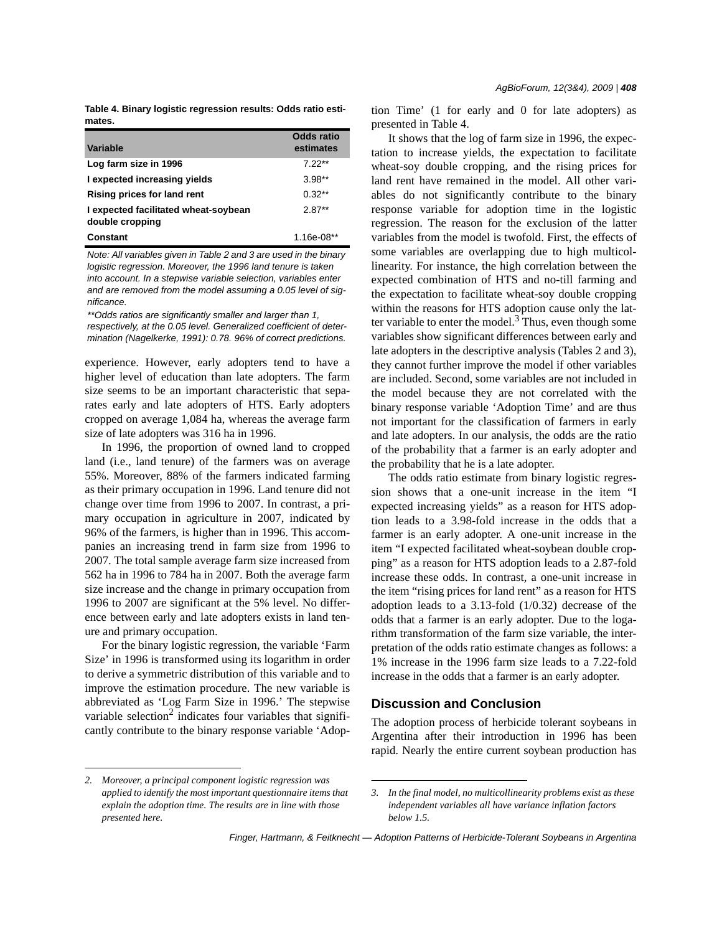|        |  | Table 4. Binary logistic regression results: Odds ratio esti- |  |  |
|--------|--|---------------------------------------------------------------|--|--|
| mates. |  |                                                               |  |  |

| Variable                                                | Odds ratio<br>estimates |
|---------------------------------------------------------|-------------------------|
| Log farm size in 1996                                   | $7.22**$                |
| I expected increasing yields                            | $3.98**$                |
| Rising prices for land rent                             | $0.32**$                |
| I expected facilitated wheat-soybean<br>double cropping | $2.87**$                |
| Constant                                                | 1.16e-08**              |

*Note: All variables given in Table 2 and 3 are used in the binary logistic regression. Moreover, the 1996 land tenure is taken into account. In a stepwise variable selection, variables enter and are removed from the model assuming a 0.05 level of significance.*

*\*\*Odds ratios are significantly smaller and larger than 1, respectively, at the 0.05 level. Generalized coefficient of determination (Nagelkerke, 1991): 0.78. 96% of correct predictions.*

experience. However, early adopters tend to have a higher level of education than late adopters. The farm size seems to be an important characteristic that separates early and late adopters of HTS. Early adopters cropped on average 1,084 ha, whereas the average farm size of late adopters was 316 ha in 1996.

In 1996, the proportion of owned land to cropped land (i.e., land tenure) of the farmers was on average 55%. Moreover, 88% of the farmers indicated farming as their primary occupation in 1996. Land tenure did not change over time from 1996 to 2007. In contrast, a primary occupation in agriculture in 2007, indicated by 96% of the farmers, is higher than in 1996. This accompanies an increasing trend in farm size from 1996 to 2007. The total sample average farm size increased from 562 ha in 1996 to 784 ha in 2007. Both the average farm size increase and the change in primary occupation from 1996 to 2007 are significant at the 5% level. No difference between early and late adopters exists in land tenure and primary occupation.

For the binary logistic regression, the variable 'Farm Size' in 1996 is transformed using its logarithm in order to derive a symmetric distribution of this variable and to improve the estimation procedure. The new variable is abbreviated as 'Log Farm Size in 1996.' The stepwise variable selection<sup>2</sup> indicates four variables that significantly contribute to the binary response variable 'Adoption Time' (1 for early and 0 for late adopters) as presented in Table 4.

It shows that the log of farm size in 1996, the expectation to increase yields, the expectation to facilitate wheat-soy double cropping, and the rising prices for land rent have remained in the model. All other variables do not significantly contribute to the binary response variable for adoption time in the logistic regression. The reason for the exclusion of the latter variables from the model is twofold. First, the effects of some variables are overlapping due to high multicollinearity. For instance, the high correlation between the expected combination of HTS and no-till farming and the expectation to facilitate wheat-soy double cropping within the reasons for HTS adoption cause only the latter variable to enter the model. $3$  Thus, even though some variables show significant differences between early and late adopters in the descriptive analysis (Tables 2 and 3), they cannot further improve the model if other variables are included. Second, some variables are not included in the model because they are not correlated with the binary response variable 'Adoption Time' and are thus not important for the classification of farmers in early and late adopters. In our analysis, the odds are the ratio of the probability that a farmer is an early adopter and the probability that he is a late adopter.

The odds ratio estimate from binary logistic regression shows that a one-unit increase in the item "I expected increasing yields" as a reason for HTS adoption leads to a 3.98-fold increase in the odds that a farmer is an early adopter. A one-unit increase in the item "I expected facilitated wheat-soybean double cropping" as a reason for HTS adoption leads to a 2.87-fold increase these odds. In contrast, a one-unit increase in the item "rising prices for land rent" as a reason for HTS adoption leads to a 3.13-fold (1/0.32) decrease of the odds that a farmer is an early adopter. Due to the logarithm transformation of the farm size variable, the interpretation of the odds ratio estimate changes as follows: a 1% increase in the 1996 farm size leads to a 7.22-fold increase in the odds that a farmer is an early adopter.

#### **Discussion and Conclusion**

The adoption process of herbicide tolerant soybeans in Argentina after their introduction in 1996 has been rapid. Nearly the entire current soybean production has

*<sup>2.</sup> Moreover, a principal component logistic regression was applied to identify the most important questionnaire items that explain the adoption time. The results are in line with those presented here.*

*<sup>3.</sup> In the final model, no multicollinearity problems exist as these independent variables all have variance inflation factors below 1.5.*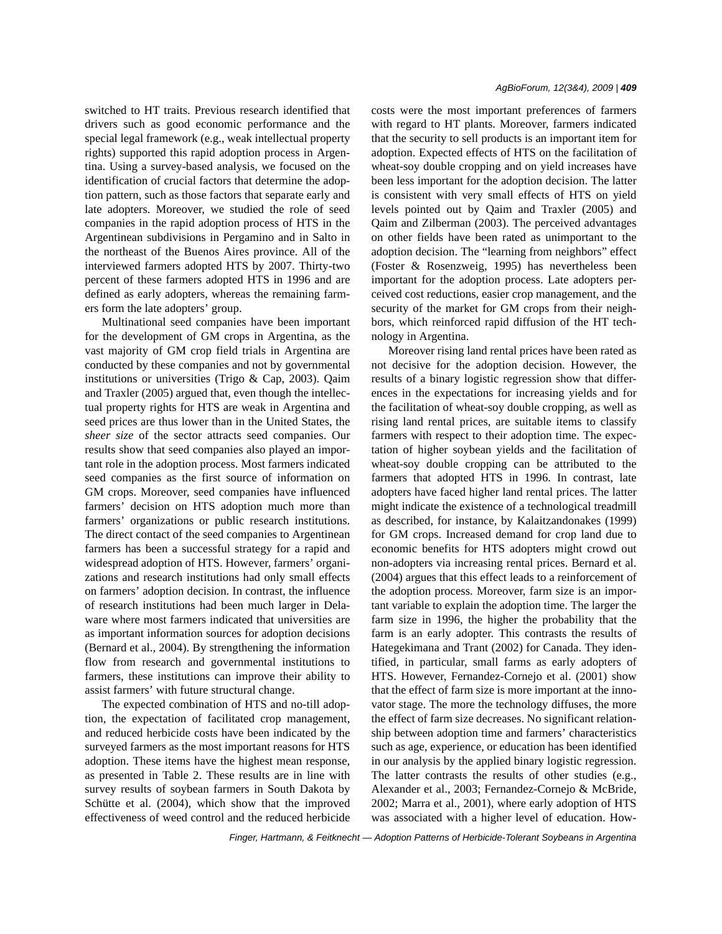switched to HT traits. Previous research identified that drivers such as good economic performance and the special legal framework (e.g., weak intellectual property rights) supported this rapid adoption process in Argentina. Using a survey-based analysis, we focused on the identification of crucial factors that determine the adoption pattern, such as those factors that separate early and late adopters. Moreover, we studied the role of seed companies in the rapid adoption process of HTS in the Argentinean subdivisions in Pergamino and in Salto in the northeast of the Buenos Aires province. All of the interviewed farmers adopted HTS by 2007. Thirty-two percent of these farmers adopted HTS in 1996 and are defined as early adopters, whereas the remaining farmers form the late adopters' group.

Multinational seed companies have been important for the development of GM crops in Argentina, as the vast majority of GM crop field trials in Argentina are conducted by these companies and not by governmental institutions or universities (Trigo & Cap, 2003). Qaim and Traxler (2005) argued that, even though the intellectual property rights for HTS are weak in Argentina and seed prices are thus lower than in the United States, the *sheer size* of the sector attracts seed companies. Our results show that seed companies also played an important role in the adoption process. Most farmers indicated seed companies as the first source of information on GM crops. Moreover, seed companies have influenced farmers' decision on HTS adoption much more than farmers' organizations or public research institutions. The direct contact of the seed companies to Argentinean farmers has been a successful strategy for a rapid and widespread adoption of HTS. However, farmers' organizations and research institutions had only small effects on farmers' adoption decision. In contrast, the influence of research institutions had been much larger in Delaware where most farmers indicated that universities are as important information sources for adoption decisions (Bernard et al., 2004). By strengthening the information flow from research and governmental institutions to farmers, these institutions can improve their ability to assist farmers' with future structural change.

The expected combination of HTS and no-till adoption, the expectation of facilitated crop management, and reduced herbicide costs have been indicated by the surveyed farmers as the most important reasons for HTS adoption. These items have the highest mean response, as presented in Table 2. These results are in line with survey results of soybean farmers in South Dakota by Schütte et al. (2004), which show that the improved effectiveness of weed control and the reduced herbicide costs were the most important preferences of farmers with regard to HT plants. Moreover, farmers indicated that the security to sell products is an important item for adoption. Expected effects of HTS on the facilitation of wheat-soy double cropping and on yield increases have been less important for the adoption decision. The latter is consistent with very small effects of HTS on yield levels pointed out by Qaim and Traxler (2005) and Qaim and Zilberman (2003). The perceived advantages on other fields have been rated as unimportant to the adoption decision. The "learning from neighbors" effect (Foster & Rosenzweig, 1995) has nevertheless been important for the adoption process. Late adopters perceived cost reductions, easier crop management, and the security of the market for GM crops from their neighbors, which reinforced rapid diffusion of the HT technology in Argentina.

Moreover rising land rental prices have been rated as not decisive for the adoption decision. However, the results of a binary logistic regression show that differences in the expectations for increasing yields and for the facilitation of wheat-soy double cropping, as well as rising land rental prices, are suitable items to classify farmers with respect to their adoption time. The expectation of higher soybean yields and the facilitation of wheat-soy double cropping can be attributed to the farmers that adopted HTS in 1996. In contrast, late adopters have faced higher land rental prices. The latter might indicate the existence of a technological treadmill as described, for instance, by Kalaitzandonakes (1999) for GM crops. Increased demand for crop land due to economic benefits for HTS adopters might crowd out non-adopters via increasing rental prices. Bernard et al. (2004) argues that this effect leads to a reinforcement of the adoption process. Moreover, farm size is an important variable to explain the adoption time. The larger the farm size in 1996, the higher the probability that the farm is an early adopter. This contrasts the results of Hategekimana and Trant (2002) for Canada. They identified, in particular, small farms as early adopters of HTS. However, Fernandez-Cornejo et al. (2001) show that the effect of farm size is more important at the innovator stage. The more the technology diffuses, the more the effect of farm size decreases. No significant relationship between adoption time and farmers' characteristics such as age, experience, or education has been identified in our analysis by the applied binary logistic regression. The latter contrasts the results of other studies (e.g., Alexander et al., 2003; Fernandez-Cornejo & McBride, 2002; Marra et al., 2001), where early adoption of HTS was associated with a higher level of education. How-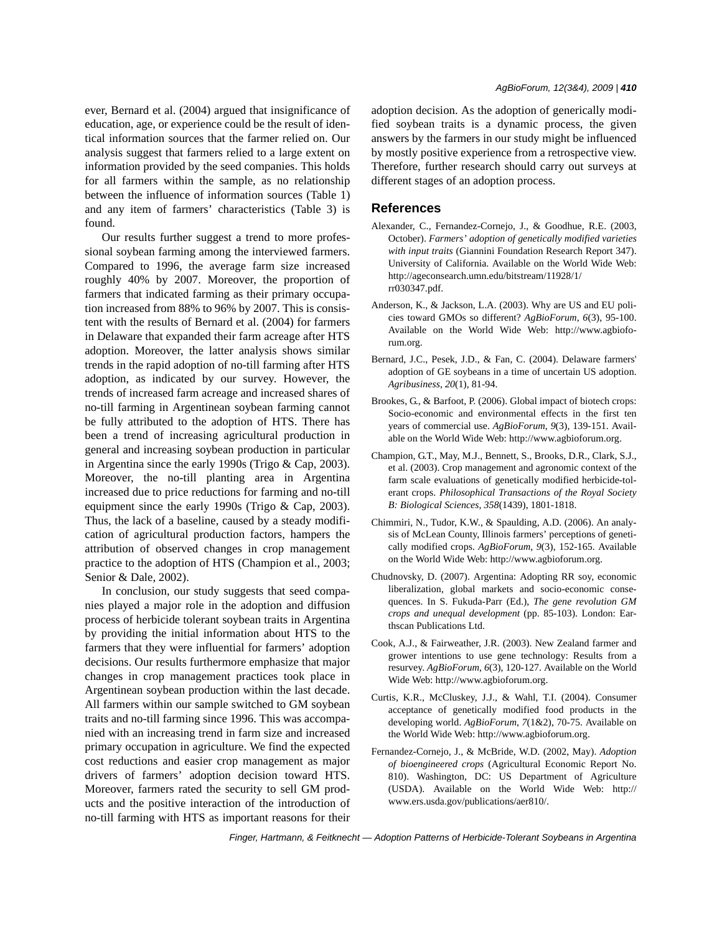ever, Bernard et al. (2004) argued that insignificance of education, age, or experience could be the result of identical information sources that the farmer relied on. Our analysis suggest that farmers relied to a large extent on information provided by the seed companies. This holds for all farmers within the sample, as no relationship between the influence of information sources (Table 1) and any item of farmers' characteristics (Table 3) is found.

Our results further suggest a trend to more professional soybean farming among the interviewed farmers. Compared to 1996, the average farm size increased roughly 40% by 2007. Moreover, the proportion of farmers that indicated farming as their primary occupation increased from 88% to 96% by 2007. This is consistent with the results of Bernard et al. (2004) for farmers in Delaware that expanded their farm acreage after HTS adoption. Moreover, the latter analysis shows similar trends in the rapid adoption of no-till farming after HTS adoption, as indicated by our survey. However, the trends of increased farm acreage and increased shares of no-till farming in Argentinean soybean farming cannot be fully attributed to the adoption of HTS. There has been a trend of increasing agricultural production in general and increasing soybean production in particular in Argentina since the early 1990s (Trigo & Cap, 2003). Moreover, the no-till planting area in Argentina increased due to price reductions for farming and no-till equipment since the early 1990s (Trigo & Cap, 2003). Thus, the lack of a baseline, caused by a steady modification of agricultural production factors, hampers the attribution of observed changes in crop management practice to the adoption of HTS (Champion et al., 2003; Senior & Dale, 2002).

In conclusion, our study suggests that seed companies played a major role in the adoption and diffusion process of herbicide tolerant soybean traits in Argentina by providing the initial information about HTS to the farmers that they were influential for farmers' adoption decisions. Our results furthermore emphasize that major changes in crop management practices took place in Argentinean soybean production within the last decade. All farmers within our sample switched to GM soybean traits and no-till farming since 1996. This was accompanied with an increasing trend in farm size and increased primary occupation in agriculture. We find the expected cost reductions and easier crop management as major drivers of farmers' adoption decision toward HTS. Moreover, farmers rated the security to sell GM products and the positive interaction of the introduction of no-till farming with HTS as important reasons for their

adoption decision. As the adoption of generically modified soybean traits is a dynamic process, the given answers by the farmers in our study might be influenced by mostly positive experience from a retrospective view. Therefore, further research should carry out surveys at different stages of an adoption process.

#### **References**

- Alexander, C., Fernandez-Cornejo, J., & Goodhue, R.E. (2003, October). *Farmers' adoption of genetically modified varieties with input traits* (Giannini Foundation Research Report 347). University of California. Available on the World Wide Web: http://ageconsearch.umn.edu/bitstream/11928/1/ rr030347.pdf.
- Anderson, K., & Jackson, L.A. (2003). Why are US and EU policies toward GMOs so different? *AgBioForum*, *6*(3), 95-100. Available on the World Wide Web: http://www.agbioforum.org.
- Bernard, J.C., Pesek, J.D., & Fan, C. (2004). Delaware farmers' adoption of GE soybeans in a time of uncertain US adoption. *Agribusiness*, *20*(1), 81-94.
- Brookes, G., & Barfoot, P. (2006). Global impact of biotech crops: Socio-economic and environmental effects in the first ten years of commercial use. *AgBioForum*, *9*(3), 139-151. Available on the World Wide Web: http://www.agbioforum.org.
- Champion, G.T., May, M.J., Bennett, S., Brooks, D.R., Clark, S.J., et al. (2003). Crop management and agronomic context of the farm scale evaluations of genetically modified herbicide-tolerant crops. *Philosophical Transactions of the Royal Society B: Biological Sciences*, *358*(1439), 1801-1818.
- Chimmiri, N., Tudor, K.W., & Spaulding, A.D. (2006). An analysis of McLean County, Illinois farmers' perceptions of genetically modified crops. *AgBioForum*, *9*(3), 152-165. Available on the World Wide Web: http://www.agbioforum.org.
- Chudnovsky, D. (2007). Argentina: Adopting RR soy, economic liberalization, global markets and socio-economic consequences. In S. Fukuda-Parr (Ed.), *The gene revolution GM crops and unequal development* (pp. 85-103). London: Earthscan Publications Ltd.
- Cook, A.J., & Fairweather, J.R. (2003). New Zealand farmer and grower intentions to use gene technology: Results from a resurvey. *AgBioForum*, *6*(3), 120-127. Available on the World Wide Web: http://www.agbioforum.org.
- Curtis, K.R., McCluskey, J.J., & Wahl, T.I. (2004). Consumer acceptance of genetically modified food products in the developing world. *AgBioForum*, *7*(1&2), 70-75. Available on the World Wide Web: http://www.agbioforum.org.
- Fernandez-Cornejo, J., & McBride, W.D. (2002, May). *Adoption of bioengineered crops* (Agricultural Economic Report No. 810). Washington, DC: US Department of Agriculture (USDA). Available on the World Wide Web: http:// www.ers.usda.gov/publications/aer810/.